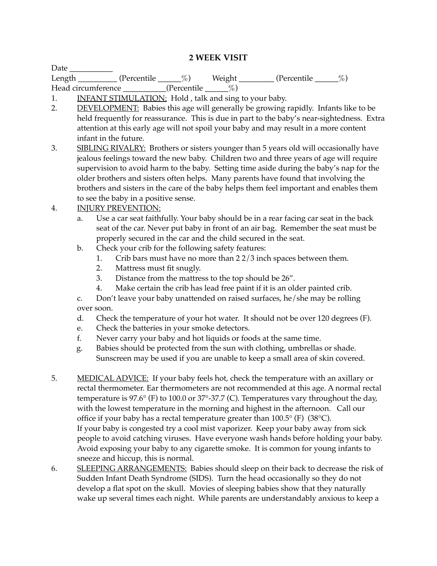## **2 WEEK VISIT**

| Date                            |              |              |        |                      |  |
|---------------------------------|--------------|--------------|--------|----------------------|--|
| Length <b>Exercise Exercise</b> | (Percentile) | $\%$ )       | Weight | $\%$<br>(Percentile) |  |
| Head circumference              |              | (Percentile) |        |                      |  |

1. INFANT STIMULATION: Hold, talk and sing to your baby.

- 2. DEVELOPMENT: Babies this age will generally be growing rapidly. Infants like to be held frequently for reassurance. This is due in part to the baby's near-sightedness. Extra attention at this early age will not spoil your baby and may result in a more content infant in the future.
- 3. SIBLING RIVALRY: Brothers or sisters younger than 5 years old will occasionally have jealous feelings toward the new baby. Children two and three years of age will require supervision to avoid harm to the baby. Setting time aside during the baby's nap for the older brothers and sisters often helps. Many parents have found that involving the brothers and sisters in the care of the baby helps them feel important and enables them to see the baby in a positive sense.
- 4. INJURY PREVENTION:
	- a. Use a car seat faithfully. Your baby should be in a rear facing car seat in the back seat of the car. Never put baby in front of an air bag. Remember the seat must be properly secured in the car and the child secured in the seat.
	- b. Check your crib for the following safety features:
		- 1. Crib bars must have no more than 2 2/3 inch spaces between them.
		- 2. Mattress must fit snugly.
		- 3. Distance from the mattress to the top should be 26".
		- 4. Make certain the crib has lead free paint if it is an older painted crib.

c. Don't leave your baby unattended on raised surfaces, he/she may be rolling over soon.

- d. Check the temperature of your hot water. It should not be over 120 degrees (F).
- e. Check the batteries in your smoke detectors.
- f. Never carry your baby and hot liquids or foods at the same time.
- g. Babies should be protected from the sun with clothing, umbrellas or shade. Sunscreen may be used if you are unable to keep a small area of skin covered.
- 5. MEDICAL ADVICE: If your baby feels hot, check the temperature with an axillary or rectal thermometer. Ear thermometers are not recommended at this age. A normal rectal temperature is 97.6° (F) to 100.0 or 37°-37.7 (C). Temperatures vary throughout the day, with the lowest temperature in the morning and highest in the afternoon. Call our office if your baby has a rectal temperature greater than  $100.5^{\circ}$  (F) (38 $^{\circ}$ C). If your baby is congested try a cool mist vaporizer. Keep your baby away from sick people to avoid catching viruses. Have everyone wash hands before holding your baby. Avoid exposing your baby to any cigarette smoke. It is common for young infants to sneeze and hiccup, this is normal.
- 6. SLEEPING ARRANGEMENTS: Babies should sleep on their back to decrease the risk of Sudden Infant Death Syndrome (SIDS). Turn the head occasionally so they do not develop a flat spot on the skull. Movies of sleeping babies show that they naturally wake up several times each night. While parents are understandably anxious to keep a